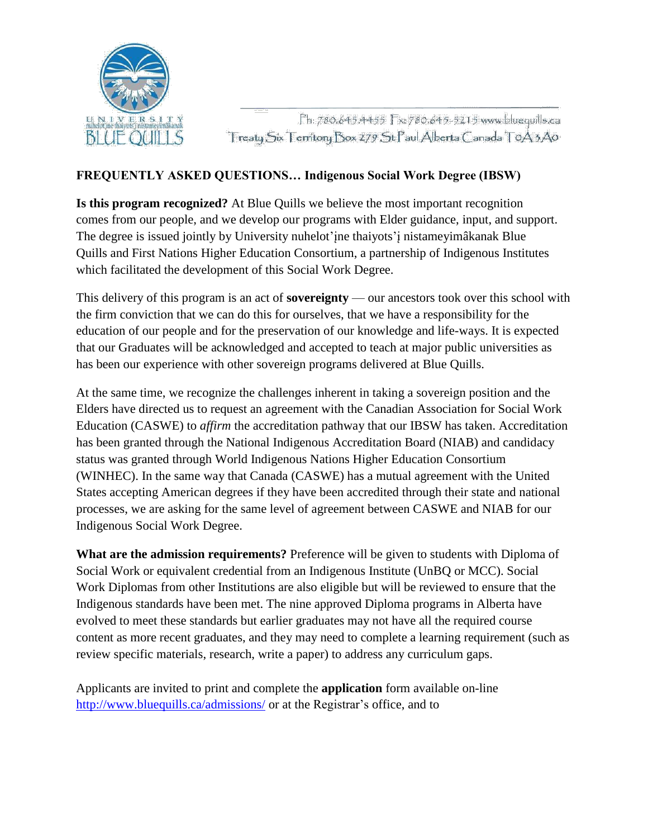

Ph: 780.645.4455 Fx: 780.645-5215 www.bluequills.ca Treaty Six Territory Box 279 St Paul Alberta Canada T0A3A0

## **FREQUENTLY ASKED QUESTIONS… Indigenous Social Work Degree (IBSW)**

**Is this program recognized?** At Blue Quills we believe the most important recognition comes from our people, and we develop our programs with Elder guidance, input, and support. The degree is issued jointly by University nuhelot'įne thaiyots'į nistameyimâkanak Blue Quills and First Nations Higher Education Consortium, a partnership of Indigenous Institutes which facilitated the development of this Social Work Degree.

This delivery of this program is an act of **sovereignty** — our ancestors took over this school with the firm conviction that we can do this for ourselves, that we have a responsibility for the education of our people and for the preservation of our knowledge and life-ways. It is expected that our Graduates will be acknowledged and accepted to teach at major public universities as has been our experience with other sovereign programs delivered at Blue Quills.

At the same time, we recognize the challenges inherent in taking a sovereign position and the Elders have directed us to request an agreement with the Canadian Association for Social Work Education (CASWE) to *affirm* the accreditation pathway that our IBSW has taken. Accreditation has been granted through the National Indigenous Accreditation Board (NIAB) and candidacy status was granted through World Indigenous Nations Higher Education Consortium (WINHEC). In the same way that Canada (CASWE) has a mutual agreement with the United States accepting American degrees if they have been accredited through their state and national processes, we are asking for the same level of agreement between CASWE and NIAB for our Indigenous Social Work Degree.

**What are the admission requirements?** Preference will be given to students with Diploma of Social Work or equivalent credential from an Indigenous Institute (UnBQ or MCC). Social Work Diplomas from other Institutions are also eligible but will be reviewed to ensure that the Indigenous standards have been met. The nine approved Diploma programs in Alberta have evolved to meet these standards but earlier graduates may not have all the required course content as more recent graduates, and they may need to complete a learning requirement (such as review specific materials, research, write a paper) to address any curriculum gaps.

Applicants are invited to print and complete the **application** form available on-line <http://www.bluequills.ca/admissions/> or at the Registrar's office, and to